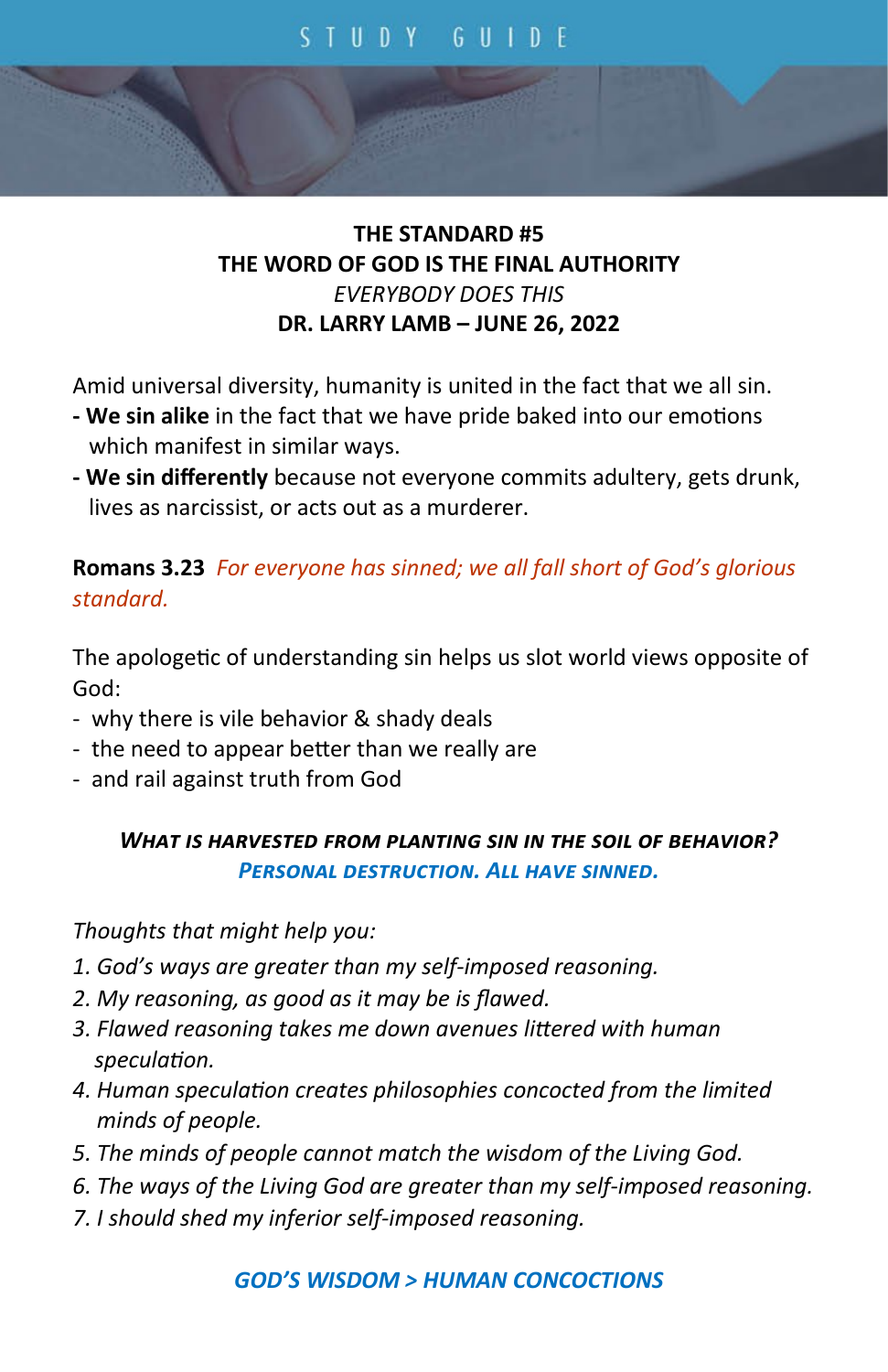## **THE STANDARD #5 THE WORD OF GOD IS THE FINAL AUTHORITY** *EVERYBODY DOES THIS* **DR. LARRY LAMB – JUNE 26, 2022**

Amid universal diversity, humanity is united in the fact that we all sin.

- **- We sin alike** in the fact that we have pride baked into our emotions which manifest in similar ways.
- **- We sin differently** because not everyone commits adultery, gets drunk, lives as narcissist, or acts out as a murderer.

## **Romans 3.23** *For everyone has sinned; we all fall short of God's glorious standard.*

The apologetic of understanding sin helps us slot world views opposite of God:

- why there is vile behavior & shady deals
- the need to appear better than we really are
- and rail against truth from God

## *What is harvested from planting sin in the soil of behavior? Personal destruction. All have sinned.*

*Thoughts that might help you:*

- *1. God's ways are greater than my self-imposed reasoning.*
- *2. My reasoning, as good as it may be is flawed.*
- *3. Flawed reasoning takes me down avenues littered with human speculation.*
- *4. Human speculation creates philosophies concocted from the limited minds of people.*
- *5. The minds of people cannot match the wisdom of the Living God.*
- *6. The ways of the Living God are greater than my self-imposed reasoning.*
- *7. I should shed my inferior self-imposed reasoning.*